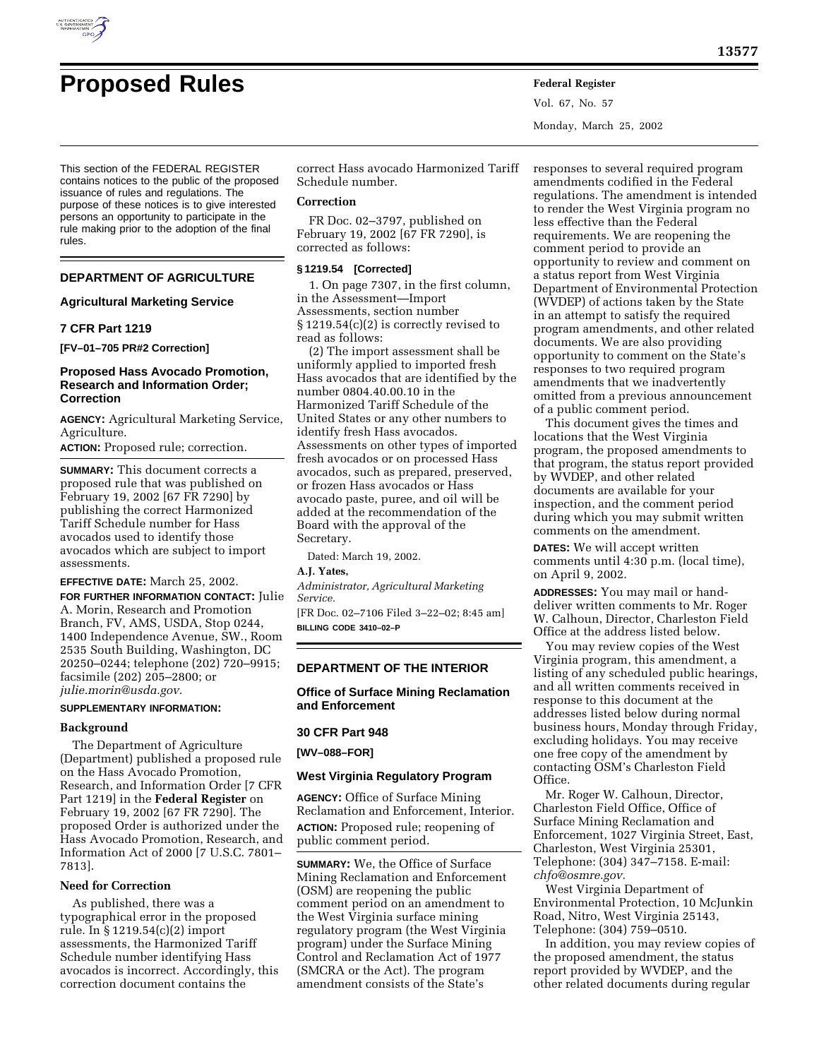# **Proposed Rules Federal Register**

Vol. 67, No. 57 Monday, March 25, 2002

This section of the FEDERAL REGISTER contains notices to the public of the proposed issuance of rules and regulations. The purpose of these notices is to give interested persons an opportunity to participate in the rule making prior to the adoption of the final rules.

# **DEPARTMENT OF AGRICULTURE**

## **Agricultural Marketing Service**

## **7 CFR Part 1219**

**[FV–01–705 PR#2 Correction]**

## **Proposed Hass Avocado Promotion, Research and Information Order; Correction**

**AGENCY:** Agricultural Marketing Service, Agriculture.

**ACTION:** Proposed rule; correction.

**SUMMARY:** This document corrects a proposed rule that was published on February 19, 2002 [67 FR 7290] by publishing the correct Harmonized Tariff Schedule number for Hass avocados used to identify those avocados which are subject to import assessments.

## **EFFECTIVE DATE:** March 25, 2002. **FOR FURTHER INFORMATION CONTACT:** Julie A. Morin, Research and Promotion Branch, FV, AMS, USDA, Stop 0244, 1400 Independence Avenue, SW., Room 2535 South Building, Washington, DC 20250–0244; telephone (202) 720–9915; facsimile (202) 205–2800; or *julie.morin@usda.gov.*

## **SUPPLEMENTARY INFORMATION:**

## **Background**

The Department of Agriculture (Department) published a proposed rule on the Hass Avocado Promotion, Research, and Information Order [7 CFR Part 1219] in the **Federal Register** on February 19, 2002 [67 FR 7290]. The proposed Order is authorized under the Hass Avocado Promotion, Research, and Information Act of 2000 [7 U.S.C. 7801– 7813].

## **Need for Correction**

As published, there was a typographical error in the proposed rule. In § 1219.54(c)(2) import assessments, the Harmonized Tariff Schedule number identifying Hass avocados is incorrect. Accordingly, this correction document contains the

correct Hass avocado Harmonized Tariff Schedule number.

## **Correction**

FR Doc. 02–3797, published on February 19, 2002 [67 FR 7290], is corrected as follows:

## **§ 1219.54 [Corrected]**

1. On page 7307, in the first column, in the Assessment—Import Assessments, section number § 1219.54(c)(2) is correctly revised to read as follows:

(2) The import assessment shall be uniformly applied to imported fresh Hass avocados that are identified by the number 0804.40.00.10 in the Harmonized Tariff Schedule of the United States or any other numbers to identify fresh Hass avocados. Assessments on other types of imported fresh avocados or on processed Hass avocados, such as prepared, preserved, or frozen Hass avocados or Hass avocado paste, puree, and oil will be added at the recommendation of the Board with the approval of the Secretary.

Dated: March 19, 2002.

# **A.J. Yates,**

*Administrator, Agricultural Marketing Service.*

[FR Doc. 02–7106 Filed 3–22–02; 8:45 am] **BILLING CODE 3410–02–P**

## **DEPARTMENT OF THE INTERIOR**

**Office of Surface Mining Reclamation and Enforcement**

## **30 CFR Part 948**

**[WV–088–FOR]**

## **West Virginia Regulatory Program**

**AGENCY:** Office of Surface Mining Reclamation and Enforcement, Interior. **ACTION:** Proposed rule; reopening of public comment period.

**SUMMARY:** We, the Office of Surface Mining Reclamation and Enforcement (OSM) are reopening the public comment period on an amendment to the West Virginia surface mining regulatory program (the West Virginia program) under the Surface Mining Control and Reclamation Act of 1977 (SMCRA or the Act). The program amendment consists of the State's

responses to several required program amendments codified in the Federal regulations. The amendment is intended to render the West Virginia program no less effective than the Federal requirements. We are reopening the comment period to provide an opportunity to review and comment on a status report from West Virginia Department of Environmental Protection (WVDEP) of actions taken by the State in an attempt to satisfy the required program amendments, and other related documents. We are also providing opportunity to comment on the State's responses to two required program amendments that we inadvertently omitted from a previous announcement of a public comment period.

This document gives the times and locations that the West Virginia program, the proposed amendments to that program, the status report provided by WVDEP, and other related documents are available for your inspection, and the comment period during which you may submit written comments on the amendment.

**DATES:** We will accept written comments until 4:30 p.m. (local time), on April 9, 2002.

**ADDRESSES:** You may mail or handdeliver written comments to Mr. Roger W. Calhoun, Director, Charleston Field Office at the address listed below.

You may review copies of the West Virginia program, this amendment, a listing of any scheduled public hearings, and all written comments received in response to this document at the addresses listed below during normal business hours, Monday through Friday, excluding holidays. You may receive one free copy of the amendment by contacting OSM's Charleston Field Office.

Mr. Roger W. Calhoun, Director, Charleston Field Office, Office of Surface Mining Reclamation and Enforcement, 1027 Virginia Street, East, Charleston, West Virginia 25301, Telephone: (304) 347–7158. E-mail: *chfo@osmre.gov.*

West Virginia Department of Environmental Protection, 10 McJunkin Road, Nitro, West Virginia 25143, Telephone: (304) 759–0510.

In addition, you may review copies of the proposed amendment, the status report provided by WVDEP, and the other related documents during regular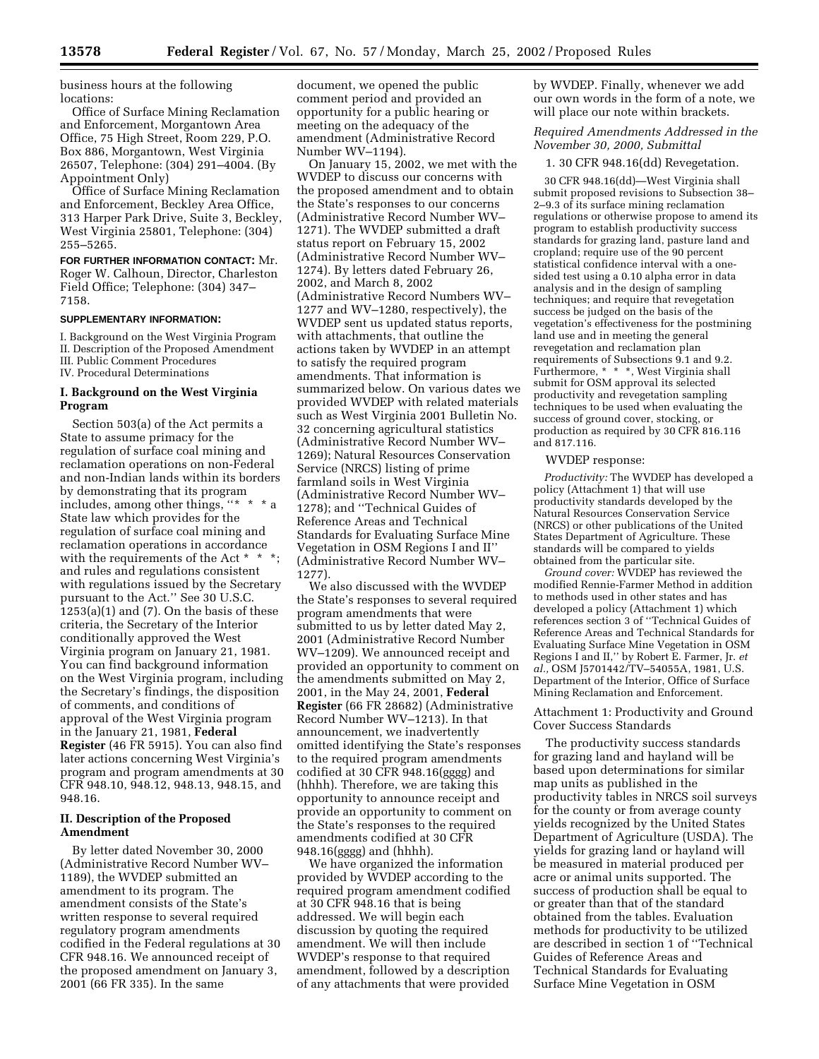business hours at the following locations:

Office of Surface Mining Reclamation and Enforcement, Morgantown Area Office, 75 High Street, Room 229, P.O. Box 886, Morgantown, West Virginia 26507, Telephone: (304) 291–4004. (By Appointment Only)

Office of Surface Mining Reclamation and Enforcement, Beckley Area Office, 313 Harper Park Drive, Suite 3, Beckley, West Virginia 25801, Telephone: (304) 255–5265.

**FOR FURTHER INFORMATION CONTACT:** Mr. Roger W. Calhoun, Director, Charleston Field Office; Telephone: (304) 347– 7158.

#### **SUPPLEMENTARY INFORMATION:**

I. Background on the West Virginia Program II. Description of the Proposed Amendment III. Public Comment Procedures IV. Procedural Determinations

## **I. Background on the West Virginia Program**

Section 503(a) of the Act permits a State to assume primacy for the regulation of surface coal mining and reclamation operations on non-Federal and non-Indian lands within its borders by demonstrating that its program includes, among other things, "\* State law which provides for the regulation of surface coal mining and reclamation operations in accordance with the requirements of the Act \* \* and rules and regulations consistent with regulations issued by the Secretary pursuant to the Act.'' See 30 U.S.C.  $1253(a)(1)$  and  $(7)$ . On the basis of these criteria, the Secretary of the Interior conditionally approved the West Virginia program on January 21, 1981. You can find background information on the West Virginia program, including the Secretary's findings, the disposition of comments, and conditions of approval of the West Virginia program in the January 21, 1981, **Federal Register** (46 FR 5915). You can also find later actions concerning West Virginia's program and program amendments at 30 CFR 948.10, 948.12, 948.13, 948.15, and 948.16.

## **II. Description of the Proposed Amendment**

By letter dated November 30, 2000 (Administrative Record Number WV– 1189), the WVDEP submitted an amendment to its program. The amendment consists of the State's written response to several required regulatory program amendments codified in the Federal regulations at 30 CFR 948.16. We announced receipt of the proposed amendment on January 3, 2001 (66 FR 335). In the same

document, we opened the public comment period and provided an opportunity for a public hearing or meeting on the adequacy of the amendment (Administrative Record Number WV–1194).

On January 15, 2002, we met with the WVDEP to discuss our concerns with the proposed amendment and to obtain the State's responses to our concerns (Administrative Record Number WV– 1271). The WVDEP submitted a draft status report on February 15, 2002 (Administrative Record Number WV– 1274). By letters dated February 26, 2002, and March 8, 2002 (Administrative Record Numbers WV– 1277 and WV–1280, respectively), the WVDEP sent us updated status reports, with attachments, that outline the actions taken by WVDEP in an attempt to satisfy the required program amendments. That information is summarized below. On various dates we provided WVDEP with related materials such as West Virginia 2001 Bulletin No. 32 concerning agricultural statistics (Administrative Record Number WV– 1269); Natural Resources Conservation Service (NRCS) listing of prime farmland soils in West Virginia (Administrative Record Number WV– 1278); and ''Technical Guides of Reference Areas and Technical Standards for Evaluating Surface Mine Vegetation in OSM Regions I and II'' (Administrative Record Number WV– 1277).

We also discussed with the WVDEP the State's responses to several required program amendments that were submitted to us by letter dated May 2, 2001 (Administrative Record Number WV–1209). We announced receipt and provided an opportunity to comment on the amendments submitted on May 2, 2001, in the May 24, 2001, **Federal Register** (66 FR 28682) (Administrative Record Number WV–1213). In that announcement, we inadvertently omitted identifying the State's responses to the required program amendments codified at 30 CFR 948.16(gggg) and (hhhh). Therefore, we are taking this opportunity to announce receipt and provide an opportunity to comment on the State's responses to the required amendments codified at 30 CFR 948.16(gggg) and (hhhh).

We have organized the information provided by WVDEP according to the required program amendment codified at 30 CFR 948.16 that is being addressed. We will begin each discussion by quoting the required amendment. We will then include WVDEP's response to that required amendment, followed by a description of any attachments that were provided

by WVDEP. Finally, whenever we add our own words in the form of a note, we will place our note within brackets.

*Required Amendments Addressed in the November 30, 2000, Submittal*

1. 30 CFR 948.16(dd) Revegetation.

30 CFR 948.16(dd)—West Virginia shall submit proposed revisions to Subsection 38– 2–9.3 of its surface mining reclamation regulations or otherwise propose to amend its program to establish productivity success standards for grazing land, pasture land and cropland; require use of the 90 percent statistical confidence interval with a onesided test using a 0.10 alpha error in data analysis and in the design of sampling techniques; and require that revegetation success be judged on the basis of the vegetation's effectiveness for the postmining land use and in meeting the general revegetation and reclamation plan requirements of Subsections 9.1 and 9.2. Furthermore, \* \* \*, West Virginia shall submit for OSM approval its selected productivity and revegetation sampling techniques to be used when evaluating the success of ground cover, stocking, or production as required by 30 CFR 816.116 and 817.116.

#### WVDEP response:

*Productivity:* The WVDEP has developed a policy (Attachment 1) that will use productivity standards developed by the Natural Resources Conservation Service (NRCS) or other publications of the United States Department of Agriculture. These standards will be compared to yields obtained from the particular site.

*Ground cover:* WVDEP has reviewed the modified Rennie-Farmer Method in addition to methods used in other states and has developed a policy (Attachment 1) which references section 3 of ''Technical Guides of Reference Areas and Technical Standards for Evaluating Surface Mine Vegetation in OSM Regions I and II,'' by Robert E. Farmer, Jr. *et al.,* OSM J5701442/TV–54055A, 1981, U.S. Department of the Interior, Office of Surface Mining Reclamation and Enforcement.

## Attachment 1: Productivity and Ground Cover Success Standards

The productivity success standards for grazing land and hayland will be based upon determinations for similar map units as published in the productivity tables in NRCS soil surveys for the county or from average county yields recognized by the United States Department of Agriculture (USDA). The yields for grazing land or hayland will be measured in material produced per acre or animal units supported. The success of production shall be equal to or greater than that of the standard obtained from the tables. Evaluation methods for productivity to be utilized are described in section 1 of ''Technical Guides of Reference Areas and Technical Standards for Evaluating Surface Mine Vegetation in OSM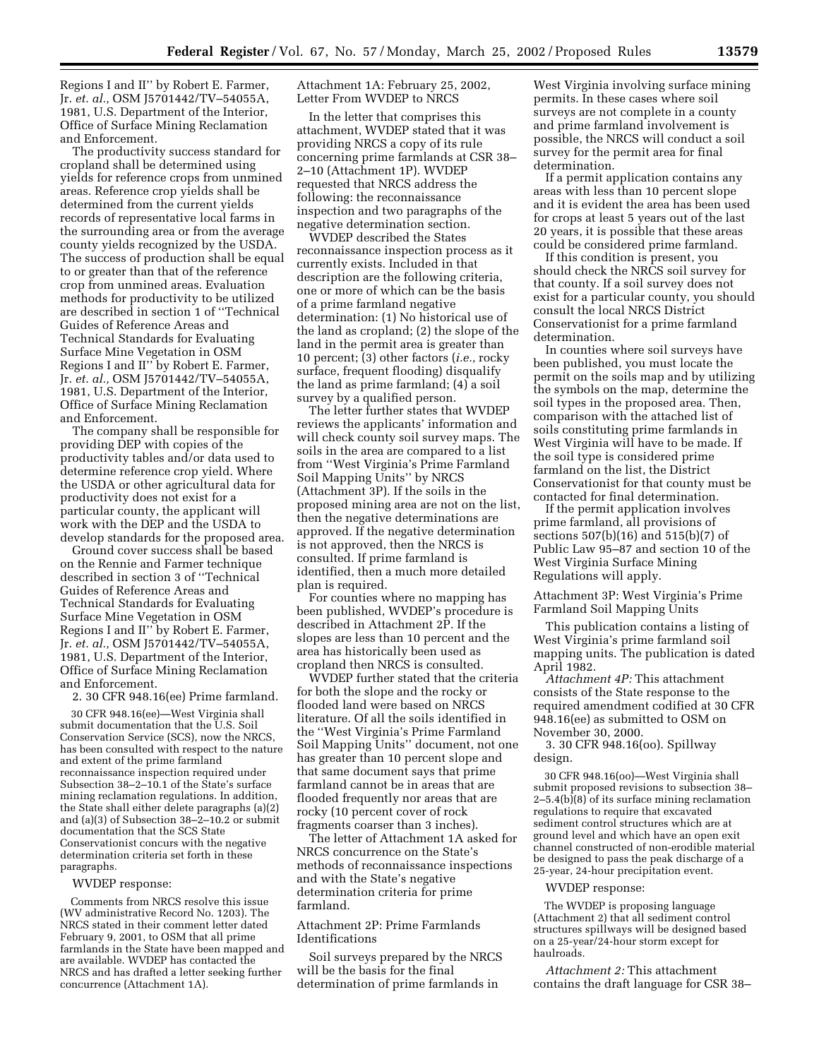Regions I and II'' by Robert E. Farmer, Jr. *et. al.,* OSM J5701442/TV–54055A, 1981, U.S. Department of the Interior, Office of Surface Mining Reclamation and Enforcement.

The productivity success standard for cropland shall be determined using yields for reference crops from unmined areas. Reference crop yields shall be determined from the current yields records of representative local farms in the surrounding area or from the average county yields recognized by the USDA. The success of production shall be equal to or greater than that of the reference crop from unmined areas. Evaluation methods for productivity to be utilized are described in section 1 of ''Technical Guides of Reference Areas and Technical Standards for Evaluating Surface Mine Vegetation in OSM Regions I and II'' by Robert E. Farmer, Jr. *et. al.,* OSM J5701442/TV–54055A, 1981, U.S. Department of the Interior, Office of Surface Mining Reclamation and Enforcement.

The company shall be responsible for providing DEP with copies of the productivity tables and/or data used to determine reference crop yield. Where the USDA or other agricultural data for productivity does not exist for a particular county, the applicant will work with the DEP and the USDA to develop standards for the proposed area.

Ground cover success shall be based on the Rennie and Farmer technique described in section 3 of ''Technical Guides of Reference Areas and Technical Standards for Evaluating Surface Mine Vegetation in OSM Regions I and II'' by Robert E. Farmer, Jr. *et. al.,* OSM J5701442/TV–54055A, 1981, U.S. Department of the Interior, Office of Surface Mining Reclamation and Enforcement.

2. 30 CFR 948.16(ee) Prime farmland.

30 CFR 948.16(ee)—West Virginia shall submit documentation that the U.S. Soil Conservation Service (SCS), now the NRCS, has been consulted with respect to the nature and extent of the prime farmland reconnaissance inspection required under Subsection 38–2–10.1 of the State's surface mining reclamation regulations. In addition, the State shall either delete paragraphs (a)(2) and (a)(3) of Subsection 38–2–10.2 or submit documentation that the SCS State Conservationist concurs with the negative determination criteria set forth in these paragraphs.

#### WVDEP response:

Comments from NRCS resolve this issue (WV administrative Record No. 1203). The NRCS stated in their comment letter dated February 9, 2001, to OSM that all prime farmlands in the State have been mapped and are available. WVDEP has contacted the NRCS and has drafted a letter seeking further concurrence (Attachment 1A).

Attachment 1A: February 25, 2002, Letter From WVDEP to NRCS

In the letter that comprises this attachment, WVDEP stated that it was providing NRCS a copy of its rule concerning prime farmlands at CSR 38– 2–10 (Attachment 1P). WVDEP requested that NRCS address the following: the reconnaissance inspection and two paragraphs of the negative determination section.

WVDEP described the States reconnaissance inspection process as it currently exists. Included in that description are the following criteria, one or more of which can be the basis of a prime farmland negative determination: (1) No historical use of the land as cropland; (2) the slope of the land in the permit area is greater than 10 percent; (3) other factors (*i.e.,* rocky surface, frequent flooding) disqualify the land as prime farmland; (4) a soil survey by a qualified person.

The letter further states that WVDEP reviews the applicants' information and will check county soil survey maps. The soils in the area are compared to a list from ''West Virginia's Prime Farmland Soil Mapping Units'' by NRCS (Attachment 3P). If the soils in the proposed mining area are not on the list, then the negative determinations are approved. If the negative determination is not approved, then the NRCS is consulted. If prime farmland is identified, then a much more detailed plan is required.

For counties where no mapping has been published, WVDEP's procedure is described in Attachment 2P. If the slopes are less than 10 percent and the area has historically been used as cropland then NRCS is consulted.

WVDEP further stated that the criteria for both the slope and the rocky or flooded land were based on NRCS literature. Of all the soils identified in the ''West Virginia's Prime Farmland Soil Mapping Units'' document, not one has greater than 10 percent slope and that same document says that prime farmland cannot be in areas that are flooded frequently nor areas that are rocky (10 percent cover of rock fragments coarser than 3 inches).

The letter of Attachment 1A asked for NRCS concurrence on the State's methods of reconnaissance inspections and with the State's negative determination criteria for prime farmland.

Attachment 2P: Prime Farmlands Identifications

Soil surveys prepared by the NRCS will be the basis for the final determination of prime farmlands in

West Virginia involving surface mining permits. In these cases where soil surveys are not complete in a county and prime farmland involvement is possible, the NRCS will conduct a soil survey for the permit area for final determination.

If a permit application contains any areas with less than 10 percent slope and it is evident the area has been used for crops at least 5 years out of the last 20 years, it is possible that these areas could be considered prime farmland.

If this condition is present, you should check the NRCS soil survey for that county. If a soil survey does not exist for a particular county, you should consult the local NRCS District Conservationist for a prime farmland determination.

In counties where soil surveys have been published, you must locate the permit on the soils map and by utilizing the symbols on the map, determine the soil types in the proposed area. Then, comparison with the attached list of soils constituting prime farmlands in West Virginia will have to be made. If the soil type is considered prime farmland on the list, the District Conservationist for that county must be contacted for final determination.

If the permit application involves prime farmland, all provisions of sections 507(b)(16) and 515(b)(7) of Public Law 95–87 and section 10 of the West Virginia Surface Mining Regulations will apply.

Attachment 3P: West Virginia's Prime Farmland Soil Mapping Units

This publication contains a listing of West Virginia's prime farmland soil mapping units. The publication is dated April 1982.

*Attachment 4P:* This attachment consists of the State response to the required amendment codified at 30 CFR 948.16(ee) as submitted to OSM on November 30, 2000.

3. 30 CFR 948.16(oo). Spillway design.

30 CFR 948.16(oo)—West Virginia shall submit proposed revisions to subsection 38– 2–5.4(b)(8) of its surface mining reclamation regulations to require that excavated sediment control structures which are at ground level and which have an open exit channel constructed of non-erodible material be designed to pass the peak discharge of a 25-year, 24-hour precipitation event.

## WVDEP response:

The WVDEP is proposing language (Attachment 2) that all sediment control structures spillways will be designed based on a 25-year/24-hour storm except for haulroads.

*Attachment 2:* This attachment contains the draft language for CSR 38–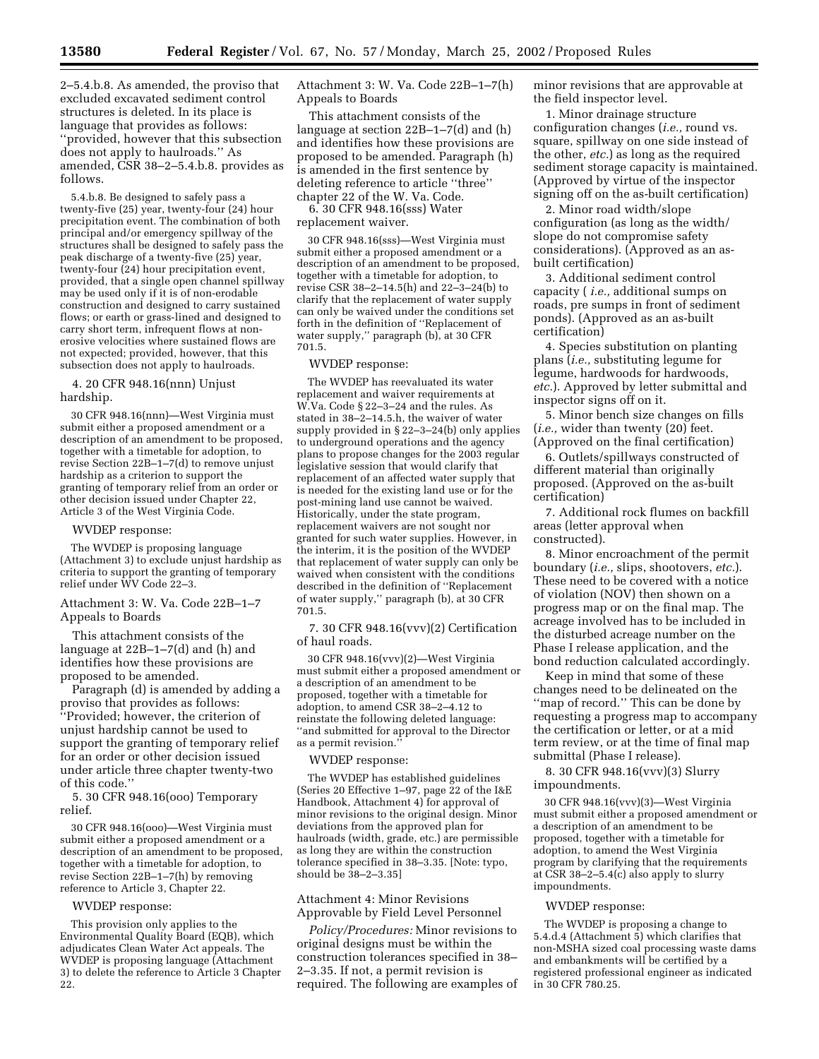2–5.4.b.8. As amended, the proviso that excluded excavated sediment control structures is deleted. In its place is language that provides as follows: ''provided, however that this subsection does not apply to haulroads.'' As amended, CSR 38–2–5.4.b.8. provides as follows.

5.4.b.8. Be designed to safely pass a twenty-five (25) year, twenty-four (24) hour precipitation event. The combination of both principal and/or emergency spillway of the structures shall be designed to safely pass the peak discharge of a twenty-five (25) year, twenty-four (24) hour precipitation event, provided, that a single open channel spillway may be used only if it is of non-erodable construction and designed to carry sustained flows; or earth or grass-lined and designed to carry short term, infrequent flows at nonerosive velocities where sustained flows are not expected; provided, however, that this subsection does not apply to haulroads.

## 4. 20 CFR 948.16(nnn) Unjust hardship.

30 CFR 948.16(nnn)—West Virginia must submit either a proposed amendment or a description of an amendment to be proposed, together with a timetable for adoption, to revise Section 22B–1–7(d) to remove unjust hardship as a criterion to support the granting of temporary relief from an order or other decision issued under Chapter 22, Article 3 of the West Virginia Code.

#### WVDEP response:

The WVDEP is proposing language (Attachment 3) to exclude unjust hardship as criteria to support the granting of temporary relief under WV Code 22–3.

## Attachment 3: W. Va. Code 22B–1–7 Appeals to Boards

This attachment consists of the language at 22B–1–7(d) and (h) and identifies how these provisions are proposed to be amended.

Paragraph (d) is amended by adding a proviso that provides as follows: ''Provided; however, the criterion of unjust hardship cannot be used to support the granting of temporary relief for an order or other decision issued under article three chapter twenty-two of this code.''

5. 30 CFR 948.16(ooo) Temporary relief.

30 CFR 948.16(ooo)—West Virginia must submit either a proposed amendment or a description of an amendment to be proposed, together with a timetable for adoption, to revise Section 22B–1–7(h) by removing reference to Article 3, Chapter 22.

#### WVDEP response:

This provision only applies to the Environmental Quality Board (EQB), which adjudicates Clean Water Act appeals. The WVDEP is proposing language (Attachment 3) to delete the reference to Article 3 Chapter 22.

Attachment 3: W. Va. Code 22B–1–7(h) Appeals to Boards

This attachment consists of the language at section 22B–1–7(d) and (h) and identifies how these provisions are proposed to be amended. Paragraph (h) is amended in the first sentence by deleting reference to article ''three'' chapter 22 of the W. Va. Code.

6. 30 CFR 948.16(sss) Water replacement waiver.

30 CFR 948.16(sss)—West Virginia must submit either a proposed amendment or a description of an amendment to be proposed, together with a timetable for adoption, to revise CSR 38–2–14.5(h) and 22–3–24(b) to clarify that the replacement of water supply can only be waived under the conditions set forth in the definition of ''Replacement of water supply,'' paragraph (b), at 30 CFR 701.5.

#### WVDEP response:

The WVDEP has reevaluated its water replacement and waiver requirements at W.Va. Code § 22–3–24 and the rules. As stated in 38–2–14.5.h, the waiver of water supply provided in § 22–3–24(b) only applies to underground operations and the agency plans to propose changes for the 2003 regular legislative session that would clarify that replacement of an affected water supply that is needed for the existing land use or for the post-mining land use cannot be waived. Historically, under the state program, replacement waivers are not sought nor granted for such water supplies. However, in the interim, it is the position of the WVDEP that replacement of water supply can only be waived when consistent with the conditions described in the definition of ''Replacement of water supply,'' paragraph (b), at 30 CFR 701.5.

7. 30 CFR 948.16(vvv)(2) Certification of haul roads.

30 CFR 948.16(vvv)(2)—West Virginia must submit either a proposed amendment or a description of an amendment to be proposed, together with a timetable for adoption, to amend CSR 38–2–4.12 to reinstate the following deleted language: ''and submitted for approval to the Director as a permit revision.''

#### WVDEP response:

The WVDEP has established guidelines (Series 20 Effective 1–97, page 22 of the I&E Handbook, Attachment 4) for approval of minor revisions to the original design. Minor deviations from the approved plan for haulroads (width, grade, etc.) are permissible as long they are within the construction tolerance specified in 38–3.35. [Note: typo, should be 38–2–3.35]

## Attachment 4: Minor Revisions Approvable by Field Level Personnel

*Policy/Procedures:* Minor revisions to original designs must be within the construction tolerances specified in 38– 2–3.35. If not, a permit revision is required. The following are examples of minor revisions that are approvable at the field inspector level.

1. Minor drainage structure configuration changes (*i.e.,* round vs. square, spillway on one side instead of the other, *etc.*) as long as the required sediment storage capacity is maintained. (Approved by virtue of the inspector signing off on the as-built certification)

2. Minor road width/slope configuration (as long as the width/ slope do not compromise safety considerations). (Approved as an asbuilt certification)

3. Additional sediment control capacity ( *i.e.,* additional sumps on roads, pre sumps in front of sediment ponds). (Approved as an as-built certification)

4. Species substitution on planting plans (*i.e.,* substituting legume for legume, hardwoods for hardwoods, *etc.*). Approved by letter submittal and inspector signs off on it.

5. Minor bench size changes on fills (*i.e.,* wider than twenty (20) feet. (Approved on the final certification)

6. Outlets/spillways constructed of different material than originally proposed. (Approved on the as-built certification)

7. Additional rock flumes on backfill areas (letter approval when constructed).

8. Minor encroachment of the permit boundary (*i.e.,* slips, shootovers, *etc.*). These need to be covered with a notice of violation (NOV) then shown on a progress map or on the final map. The acreage involved has to be included in the disturbed acreage number on the Phase I release application, and the bond reduction calculated accordingly.

Keep in mind that some of these changes need to be delineated on the ''map of record.'' This can be done by requesting a progress map to accompany the certification or letter, or at a mid term review, or at the time of final map submittal (Phase I release).

8. 30 CFR 948.16(vvv)(3) Slurry impoundments.

30 CFR 948.16(vvv)(3)—West Virginia must submit either a proposed amendment or a description of an amendment to be proposed, together with a timetable for adoption, to amend the West Virginia program by clarifying that the requirements at CSR 38–2–5.4(c) also apply to slurry impoundments.

#### WVDEP response:

The WVDEP is proposing a change to 5.4.d.4 (Attachment 5) which clarifies that non-MSHA sized coal processing waste dams and embankments will be certified by a registered professional engineer as indicated in 30 CFR 780.25.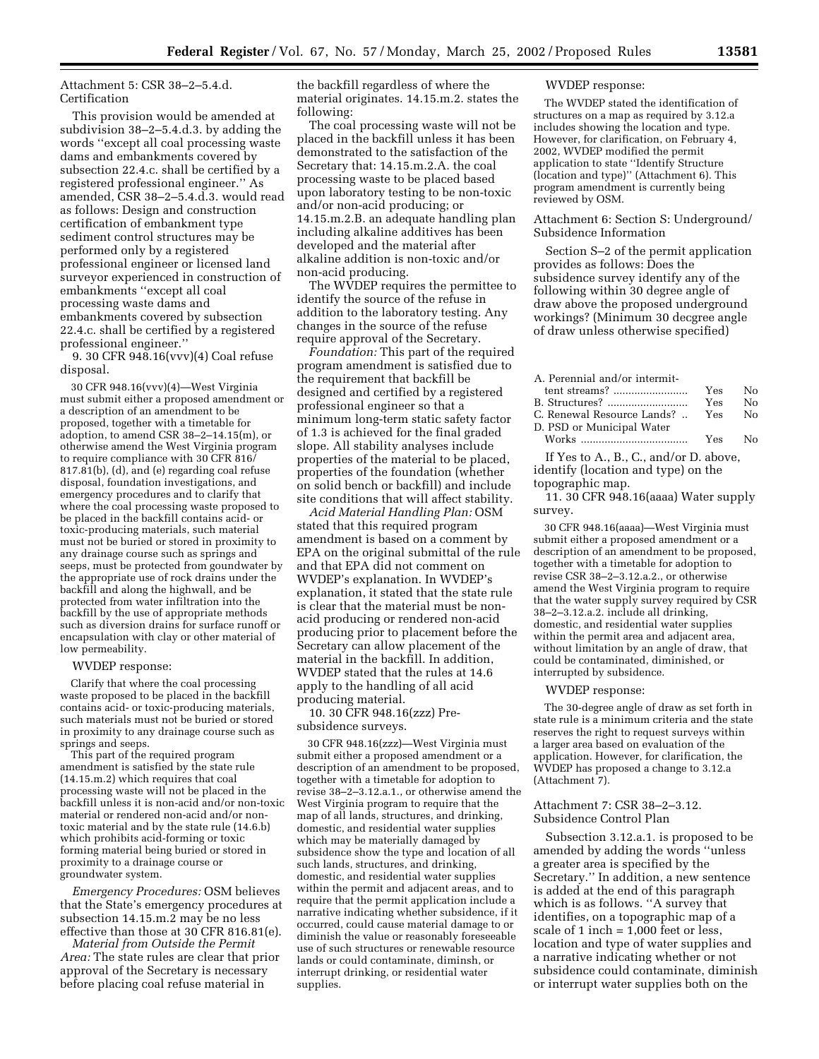Attachment 5: CSR 38–2–5.4.d. Certification

This provision would be amended at subdivision 38–2–5.4.d.3. by adding the words ''except all coal processing waste dams and embankments covered by subsection 22.4.c. shall be certified by a registered professional engineer.'' As amended, CSR 38–2–5.4.d.3. would read as follows: Design and construction certification of embankment type sediment control structures may be performed only by a registered professional engineer or licensed land surveyor experienced in construction of embankments ''except all coal processing waste dams and embankments covered by subsection 22.4.c. shall be certified by a registered professional engineer.''

9. 30 CFR 948.16(vvv)(4) Coal refuse disposal.

30 CFR 948.16(vvv)(4)—West Virginia must submit either a proposed amendment or a description of an amendment to be proposed, together with a timetable for adoption, to amend CSR 38–2–14.15(m), or otherwise amend the West Virginia program to require compliance with 30 CFR 816/ 817.81(b), (d), and (e) regarding coal refuse disposal, foundation investigations, and emergency procedures and to clarify that where the coal processing waste proposed to be placed in the backfill contains acid- or toxic-producing materials, such material must not be buried or stored in proximity to any drainage course such as springs and seeps, must be protected from goundwater by the appropriate use of rock drains under the backfill and along the highwall, and be protected from water infiltration into the backfill by the use of appropriate methods such as diversion drains for surface runoff or encapsulation with clay or other material of low permeability.

## WVDEP response:

Clarify that where the coal processing waste proposed to be placed in the backfill contains acid- or toxic-producing materials, such materials must not be buried or stored in proximity to any drainage course such as springs and seeps.

This part of the required program amendment is satisfied by the state rule (14.15.m.2) which requires that coal processing waste will not be placed in the backfill unless it is non-acid and/or non-toxic material or rendered non-acid and/or nontoxic material and by the state rule (14.6.b) which prohibits acid-forming or toxic forming material being buried or stored in proximity to a drainage course or groundwater system.

*Emergency Procedures:* OSM believes that the State's emergency procedures at subsection 14.15.m.2 may be no less effective than those at 30 CFR 816.81(e).

*Material from Outside the Permit Area:* The state rules are clear that prior approval of the Secretary is necessary before placing coal refuse material in

the backfill regardless of where the material originates. 14.15.m.2. states the following:

The coal processing waste will not be placed in the backfill unless it has been demonstrated to the satisfaction of the Secretary that: 14.15.m.2.A. the coal processing waste to be placed based upon laboratory testing to be non-toxic and/or non-acid producing; or 14.15.m.2.B. an adequate handling plan including alkaline additives has been developed and the material after alkaline addition is non-toxic and/or non-acid producing.

The WVDEP requires the permittee to identify the source of the refuse in addition to the laboratory testing. Any changes in the source of the refuse require approval of the Secretary.

*Foundation:* This part of the required program amendment is satisfied due to the requirement that backfill be designed and certified by a registered professional engineer so that a minimum long-term static safety factor of 1.3 is achieved for the final graded slope. All stability analyses include properties of the material to be placed, properties of the foundation (whether on solid bench or backfill) and include site conditions that will affect stability.

*Acid Material Handling Plan:* OSM stated that this required program amendment is based on a comment by EPA on the original submittal of the rule and that EPA did not comment on WVDEP's explanation. In WVDEP's explanation, it stated that the state rule is clear that the material must be nonacid producing or rendered non-acid producing prior to placement before the Secretary can allow placement of the material in the backfill. In addition, WVDEP stated that the rules at 14.6 apply to the handling of all acid producing material.

10. 30 CFR 948.16(zzz) Presubsidence surveys.

30 CFR 948.16(zzz)—West Virginia must submit either a proposed amendment or a description of an amendment to be proposed, together with a timetable for adoption to revise 38–2–3.12.a.1., or otherwise amend the West Virginia program to require that the map of all lands, structures, and drinking, domestic, and residential water supplies which may be materially damaged by subsidence show the type and location of all such lands, structures, and drinking, domestic, and residential water supplies within the permit and adjacent areas, and to require that the permit application include a narrative indicating whether subsidence, if it occurred, could cause material damage to or diminish the value or reasonably foreseeable use of such structures or renewable resource lands or could contaminate, diminsh, or interrupt drinking, or residential water supplies.

#### WVDEP response:

The WVDEP stated the identification of structures on a map as required by 3.12.a includes showing the location and type. However, for clarification, on February 4, 2002, WVDEP modified the permit application to state ''Identify Structure (location and type)'' (Attachment 6). This program amendment is currently being reviewed by OSM.

Attachment 6: Section S: Underground/ Subsidence Information

Section S–2 of the permit application provides as follows: Does the subsidence survey identify any of the following within 30 degree angle of draw above the proposed underground workings? (Minimum 30 decgree angle of draw unless otherwise specified)

A. Perennial and/or intermit-

|                                              | Yes No |      |
|----------------------------------------------|--------|------|
| B. Structures?                               | Yes    | - No |
| C. Renewal Resource Lands?      Yes       No |        |      |
| D. PSD or Municipal Water                    |        |      |
|                                              | Yes No |      |

If Yes to A., B., C., and/or D. above, identify (location and type) on the topographic map.

11. 30 CFR 948.16(aaaa) Water supply survey.

30 CFR 948.16(aaaa)—West Virginia must submit either a proposed amendment or a description of an amendment to be proposed, together with a timetable for adoption to revise CSR 38–2–3.12.a.2., or otherwise amend the West Virginia program to require that the water supply survey required by CSR 38–2–3.12.a.2. include all drinking, domestic, and residential water supplies within the permit area and adjacent area, without limitation by an angle of draw, that could be contaminated, diminished, or interrupted by subsidence.

#### WVDEP response:

The 30-degree angle of draw as set forth in state rule is a minimum criteria and the state reserves the right to request surveys within a larger area based on evaluation of the application. However, for clarification, the WVDEP has proposed a change to 3.12.a (Attachment 7).

#### Attachment 7: CSR 38–2–3.12. Subsidence Control Plan

Subsection 3.12.a.1. is proposed to be amended by adding the words ''unless a greater area is specified by the Secretary.'' In addition, a new sentence is added at the end of this paragraph which is as follows. ''A survey that identifies, on a topographic map of a scale of 1 inch = 1,000 feet or less, location and type of water supplies and a narrative indicating whether or not subsidence could contaminate, diminish or interrupt water supplies both on the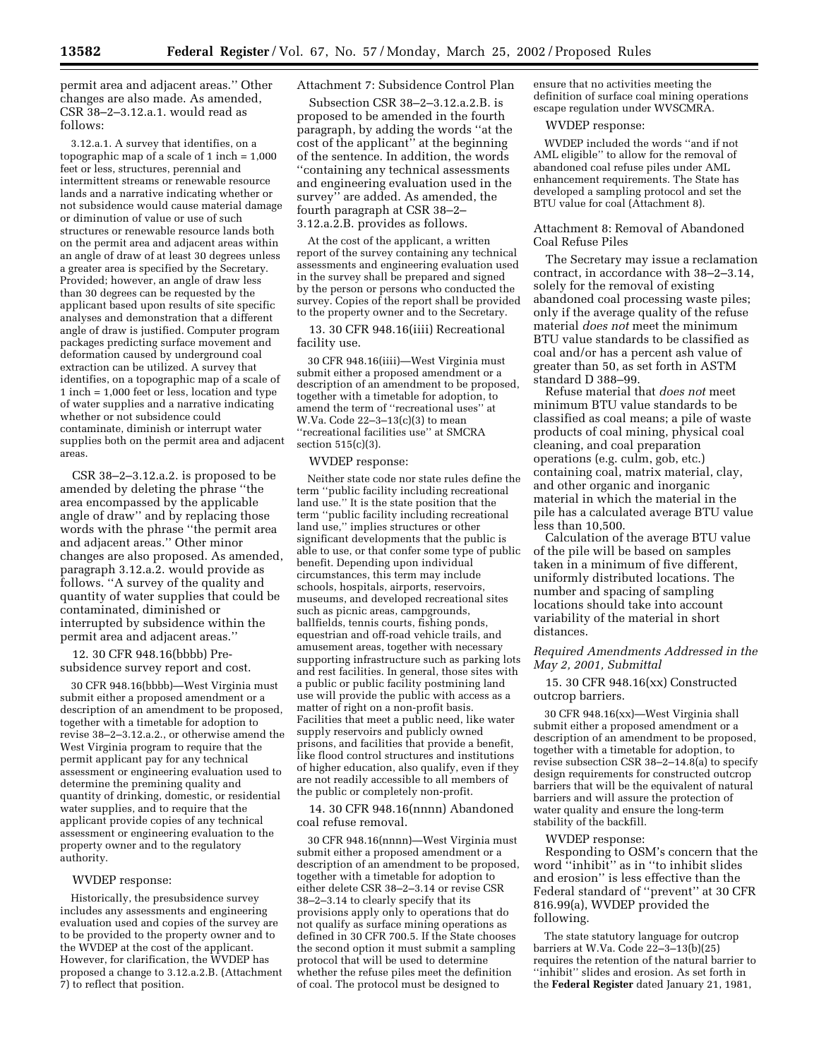permit area and adjacent areas.'' Other changes are also made. As amended, CSR 38–2–3.12.a.1. would read as follows:

3.12.a.1. A survey that identifies, on a topographic map of a scale of  $1$  inch =  $1,000$ feet or less, structures, perennial and intermittent streams or renewable resource lands and a narrative indicating whether or not subsidence would cause material damage or diminution of value or use of such structures or renewable resource lands both on the permit area and adjacent areas within an angle of draw of at least 30 degrees unless a greater area is specified by the Secretary. Provided; however, an angle of draw less than 30 degrees can be requested by the applicant based upon results of site specific analyses and demonstration that a different angle of draw is justified. Computer program packages predicting surface movement and deformation caused by underground coal extraction can be utilized. A survey that identifies, on a topographic map of a scale of 1 inch = 1,000 feet or less, location and type of water supplies and a narrative indicating whether or not subsidence could contaminate, diminish or interrupt water supplies both on the permit area and adjacent areas.

CSR 38–2–3.12.a.2. is proposed to be amended by deleting the phrase ''the area encompassed by the applicable angle of draw'' and by replacing those words with the phrase ''the permit area and adjacent areas.'' Other minor changes are also proposed. As amended, paragraph 3.12.a.2. would provide as follows. ''A survey of the quality and quantity of water supplies that could be contaminated, diminished or interrupted by subsidence within the permit area and adjacent areas.''

12. 30 CFR 948.16(bbbb) Presubsidence survey report and cost.

30 CFR 948.16(bbbb)—West Virginia must submit either a proposed amendment or a description of an amendment to be proposed, together with a timetable for adoption to revise 38–2–3.12.a.2., or otherwise amend the West Virginia program to require that the permit applicant pay for any technical assessment or engineering evaluation used to determine the premining quality and quantity of drinking, domestic, or residential water supplies, and to require that the applicant provide copies of any technical assessment or engineering evaluation to the property owner and to the regulatory authority.

#### WVDEP response:

Historically, the presubsidence survey includes any assessments and engineering evaluation used and copies of the survey are to be provided to the property owner and to the WVDEP at the cost of the applicant. However, for clarification, the WVDEP has proposed a change to 3.12.a.2.B. (Attachment 7) to reflect that position.

## Attachment 7: Subsidence Control Plan

Subsection CSR 38–2–3.12.a.2.B. is proposed to be amended in the fourth paragraph, by adding the words ''at the cost of the applicant'' at the beginning of the sentence. In addition, the words ''containing any technical assessments and engineering evaluation used in the survey'' are added. As amended, the fourth paragraph at CSR 38–2– 3.12.a.2.B. provides as follows.

At the cost of the applicant, a written report of the survey containing any technical assessments and engineering evaluation used in the survey shall be prepared and signed by the person or persons who conducted the survey. Copies of the report shall be provided to the property owner and to the Secretary.

13. 30 CFR 948.16(iiii) Recreational facility use.

30 CFR 948.16(iiii)—West Virginia must submit either a proposed amendment or a description of an amendment to be proposed, together with a timetable for adoption, to amend the term of ''recreational uses'' at W.Va. Code 22–3–13(c)(3) to mean ''recreational facilities use'' at SMCRA section 515(c)(3).

## WVDEP response:

Neither state code nor state rules define the term ''public facility including recreational land use.'' It is the state position that the term ''public facility including recreational land use,'' implies structures or other significant developments that the public is able to use, or that confer some type of public benefit. Depending upon individual circumstances, this term may include schools, hospitals, airports, reservoirs, museums, and developed recreational sites such as picnic areas, campgrounds, ballfields, tennis courts, fishing ponds, equestrian and off-road vehicle trails, and amusement areas, together with necessary supporting infrastructure such as parking lots and rest facilities. In general, those sites with a public or public facility postmining land use will provide the public with access as a matter of right on a non-profit basis. Facilities that meet a public need, like water supply reservoirs and publicly owned prisons, and facilities that provide a benefit, like flood control structures and institutions of higher education, also qualify, even if they are not readily accessible to all members of the public or completely non-profit.

14. 30 CFR 948.16(nnnn) Abandoned coal refuse removal.

30 CFR 948.16(nnnn)—West Virginia must submit either a proposed amendment or a description of an amendment to be proposed, together with a timetable for adoption to either delete CSR 38–2–3.14 or revise CSR 38–2–3.14 to clearly specify that its provisions apply only to operations that do not qualify as surface mining operations as defined in 30 CFR 700.5. If the State chooses the second option it must submit a sampling protocol that will be used to determine whether the refuse piles meet the definition of coal. The protocol must be designed to

ensure that no activities meeting the definition of surface coal mining operations escape regulation under WVSCMRA.

## WVDEP response:

WVDEP included the words ''and if not AML eligible'' to allow for the removal of abandoned coal refuse piles under AML enhancement requirements. The State has developed a sampling protocol and set the BTU value for coal (Attachment 8).

## Attachment 8: Removal of Abandoned Coal Refuse Piles

The Secretary may issue a reclamation contract, in accordance with 38–2–3.14, solely for the removal of existing abandoned coal processing waste piles; only if the average quality of the refuse material *does not* meet the minimum BTU value standards to be classified as coal and/or has a percent ash value of greater than 50, as set forth in ASTM standard D 388–99.

Refuse material that *does not* meet minimum BTU value standards to be classified as coal means; a pile of waste products of coal mining, physical coal cleaning, and coal preparation operations (e.g. culm, gob, etc.) containing coal, matrix material, clay, and other organic and inorganic material in which the material in the pile has a calculated average BTU value less than 10,500.

Calculation of the average BTU value of the pile will be based on samples taken in a minimum of five different, uniformly distributed locations. The number and spacing of sampling locations should take into account variability of the material in short distances.

## *Required Amendments Addressed in the May 2, 2001, Submittal*

15. 30 CFR 948.16(xx) Constructed outcrop barriers.

30 CFR 948.16(xx)—West Virginia shall submit either a proposed amendment or a description of an amendment to be proposed, together with a timetable for adoption, to revise subsection CSR  $38-2-14.8$ (a) to specify design requirements for constructed outcrop barriers that will be the equivalent of natural barriers and will assure the protection of water quality and ensure the long-term stability of the backfill.

#### WVDEP response:

Responding to OSM's concern that the word ''inhibit'' as in ''to inhibit slides and erosion'' is less effective than the Federal standard of ''prevent'' at 30 CFR 816.99(a), WVDEP provided the following.

The state statutory language for outcrop barriers at W.Va. Code 22–3–13(b)(25) requires the retention of the natural barrier to ''inhibit'' slides and erosion. As set forth in the **Federal Register** dated January 21, 1981,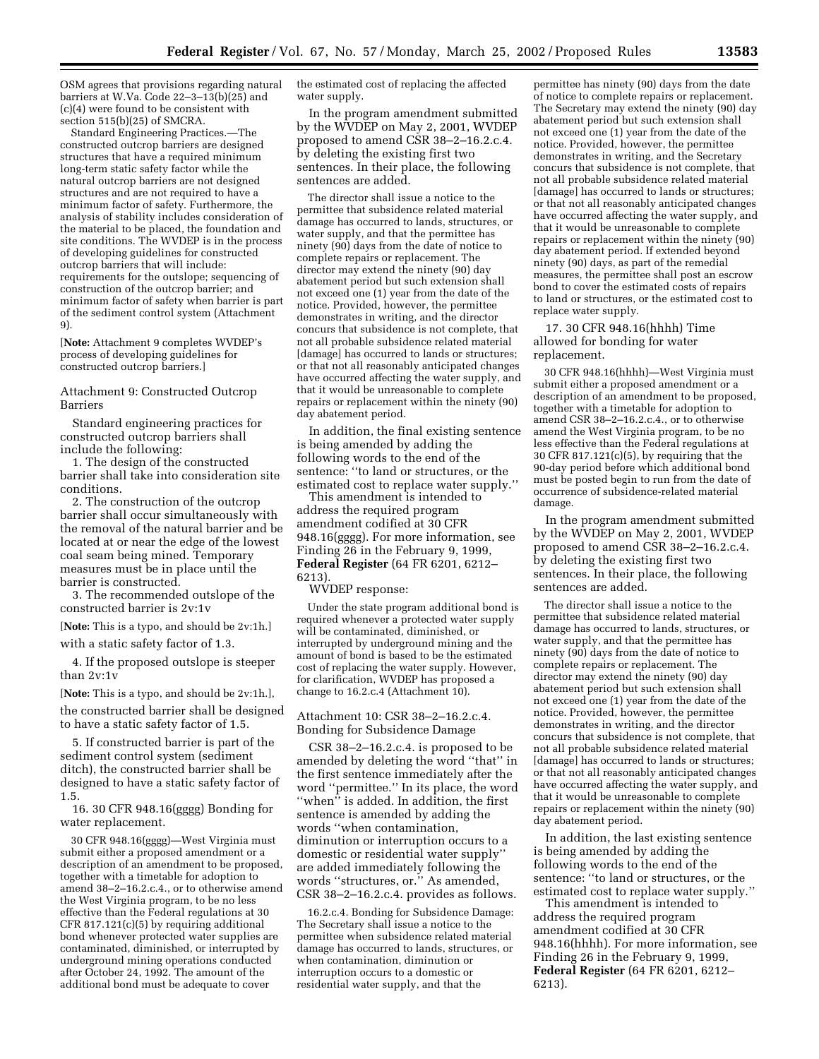OSM agrees that provisions regarding natural barriers at W.Va. Code 22–3–13(b)(25) and (c)(4) were found to be consistent with section 515(b)(25) of SMCRA.

Standard Engineering Practices.—The constructed outcrop barriers are designed structures that have a required minimum long-term static safety factor while the natural outcrop barriers are not designed structures and are not required to have a minimum factor of safety. Furthermore, the analysis of stability includes consideration of the material to be placed, the foundation and site conditions. The WVDEP is in the process of developing guidelines for constructed outcrop barriers that will include: requirements for the outslope; sequencing of construction of the outcrop barrier; and minimum factor of safety when barrier is part of the sediment control system (Attachment 9).

[**Note:** Attachment 9 completes WVDEP's process of developing guidelines for constructed outcrop barriers.]

## Attachment 9: Constructed Outcrop Barriers

Standard engineering practices for constructed outcrop barriers shall include the following:

1. The design of the constructed barrier shall take into consideration site conditions.

2. The construction of the outcrop barrier shall occur simultaneously with the removal of the natural barrier and be located at or near the edge of the lowest coal seam being mined. Temporary measures must be in place until the barrier is constructed.

3. The recommended outslope of the constructed barrier is 2v:1v

[**Note:** This is a typo, and should be 2v:1h.]

with a static safety factor of 1.3.

4. If the proposed outslope is steeper than 2v:1v

[**Note:** This is a typo, and should be 2v:1h.],

the constructed barrier shall be designed to have a static safety factor of 1.5.

5. If constructed barrier is part of the sediment control system (sediment ditch), the constructed barrier shall be designed to have a static safety factor of 1.5.

16. 30 CFR 948.16(gggg) Bonding for water replacement.

30 CFR 948.16(gggg)—West Virginia must submit either a proposed amendment or a description of an amendment to be proposed, together with a timetable for adoption to amend 38–2–16.2.c.4., or to otherwise amend the West Virginia program, to be no less effective than the Federal regulations at 30 CFR 817.121(c)(5) by requiring additional bond whenever protected water supplies are contaminated, diminished, or interrupted by underground mining operations conducted after October 24, 1992. The amount of the additional bond must be adequate to cover

the estimated cost of replacing the affected water supply.

In the program amendment submitted by the WVDEP on May 2, 2001, WVDEP proposed to amend CSR 38–2–16.2.c.4. by deleting the existing first two sentences. In their place, the following sentences are added.

The director shall issue a notice to the permittee that subsidence related material damage has occurred to lands, structures, or water supply, and that the permittee has ninety (90) days from the date of notice to complete repairs or replacement. The director may extend the ninety (90) day abatement period but such extension shall not exceed one (1) year from the date of the notice. Provided, however, the permittee demonstrates in writing, and the director concurs that subsidence is not complete, that not all probable subsidence related material [damage] has occurred to lands or structures; or that not all reasonably anticipated changes have occurred affecting the water supply, and that it would be unreasonable to complete repairs or replacement within the ninety (90) day abatement period.

In addition, the final existing sentence is being amended by adding the following words to the end of the sentence: ''to land or structures, or the estimated cost to replace water supply.''

This amendment is intended to address the required program amendment codified at 30 CFR 948.16(gggg). For more information, see Finding 26 in the February 9, 1999, **Federal Register** (64 FR 6201, 6212– 6213).

WVDEP response:

Under the state program additional bond is required whenever a protected water supply will be contaminated, diminished, or interrupted by underground mining and the amount of bond is based to be the estimated cost of replacing the water supply. However, for clarification, WVDEP has proposed a change to 16.2.c.4 (Attachment 10).

Attachment 10: CSR 38–2–16.2.c.4. Bonding for Subsidence Damage

CSR 38–2–16.2.c.4. is proposed to be amended by deleting the word ''that'' in the first sentence immediately after the word ''permittee.'' In its place, the word ''when'' is added. In addition, the first sentence is amended by adding the words ''when contamination, diminution or interruption occurs to a domestic or residential water supply'' are added immediately following the words ''structures, or.'' As amended, CSR 38–2–16.2.c.4. provides as follows.

16.2.c.4. Bonding for Subsidence Damage: The Secretary shall issue a notice to the permittee when subsidence related material damage has occurred to lands, structures, or when contamination, diminution or interruption occurs to a domestic or residential water supply, and that the

permittee has ninety (90) days from the date of notice to complete repairs or replacement. The Secretary may extend the ninety (90) day abatement period but such extension shall not exceed one (1) year from the date of the notice. Provided, however, the permittee demonstrates in writing, and the Secretary concurs that subsidence is not complete, that not all probable subsidence related material [damage] has occurred to lands or structures; or that not all reasonably anticipated changes have occurred affecting the water supply, and that it would be unreasonable to complete repairs or replacement within the ninety (90) day abatement period. If extended beyond ninety (90) days, as part of the remedial measures, the permittee shall post an escrow bond to cover the estimated costs of repairs to land or structures, or the estimated cost to replace water supply.

17. 30 CFR 948.16(hhhh) Time allowed for bonding for water replacement.

30 CFR 948.16(hhhh)—West Virginia must submit either a proposed amendment or a description of an amendment to be proposed, together with a timetable for adoption to amend CSR 38–2–16.2.c.4., or to otherwise amend the West Virginia program, to be no less effective than the Federal regulations at 30 CFR 817.121(c)(5), by requiring that the 90-day period before which additional bond must be posted begin to run from the date of occurrence of subsidence-related material damage.

In the program amendment submitted by the WVDEP on May 2, 2001, WVDEP proposed to amend CSR 38–2–16.2.c.4. by deleting the existing first two sentences. In their place, the following sentences are added.

The director shall issue a notice to the permittee that subsidence related material damage has occurred to lands, structures, or water supply, and that the permittee has ninety (90) days from the date of notice to complete repairs or replacement. The director may extend the ninety (90) day abatement period but such extension shall not exceed one (1) year from the date of the notice. Provided, however, the permittee demonstrates in writing, and the director concurs that subsidence is not complete, that not all probable subsidence related material [damage] has occurred to lands or structures; or that not all reasonably anticipated changes have occurred affecting the water supply, and that it would be unreasonable to complete repairs or replacement within the ninety (90) day abatement period.

In addition, the last existing sentence is being amended by adding the following words to the end of the sentence: ''to land or structures, or the estimated cost to replace water supply.''

This amendment is intended to address the required program amendment codified at 30 CFR 948.16(hhhh). For more information, see Finding 26 in the February 9, 1999, **Federal Register** (64 FR 6201, 6212– 6213).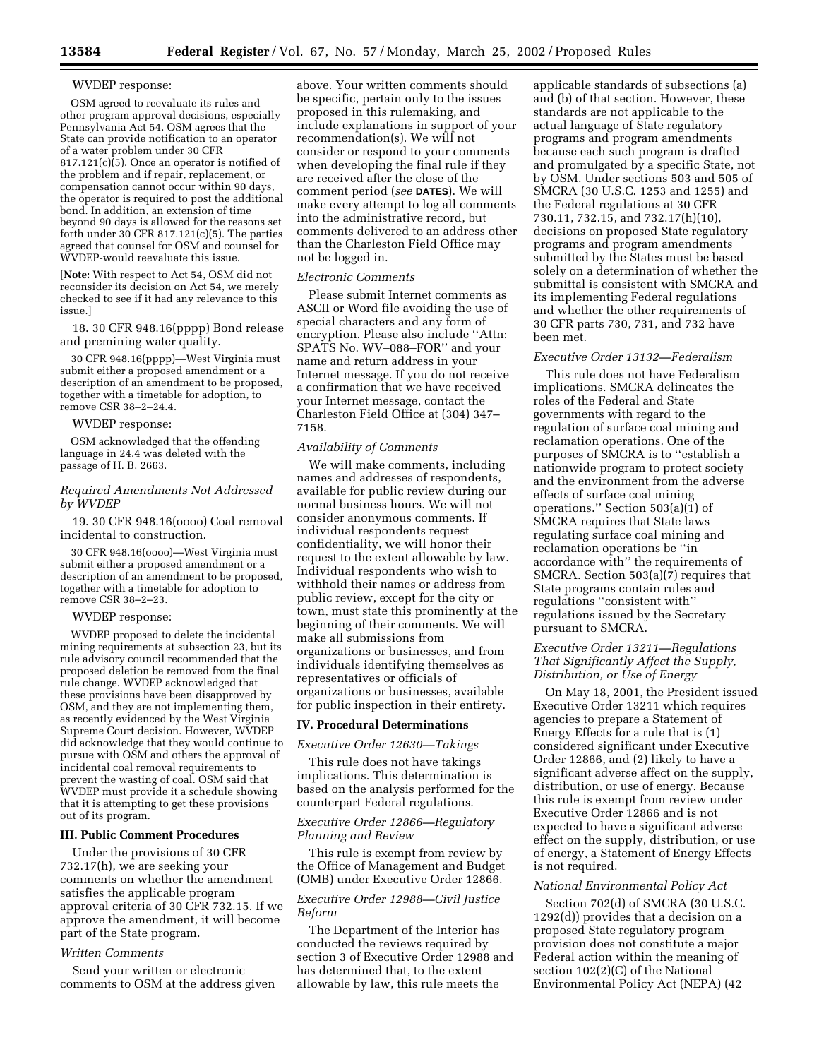#### WVDEP response:

OSM agreed to reevaluate its rules and other program approval decisions, especially Pennsylvania Act 54. OSM agrees that the State can provide notification to an operator of a water problem under 30 CFR  $817.121(c)\overline{6}$ . Once an operator is notified of the problem and if repair, replacement, or compensation cannot occur within 90 days, the operator is required to post the additional bond. In addition, an extension of time beyond 90 days is allowed for the reasons set forth under  $30$  CFR  $817.121(c)(5)$ . The parties agreed that counsel for OSM and counsel for WVDEP-would reevaluate this issue.

[**Note:** With respect to Act 54, OSM did not reconsider its decision on Act 54, we merely checked to see if it had any relevance to this issue.]

18. 30 CFR 948.16(pppp) Bond release and premining water quality.

30 CFR 948.16(pppp)—West Virginia must submit either a proposed amendment or a description of an amendment to be proposed, together with a timetable for adoption, to remove CSR 38–2–24.4.

#### WVDEP response:

OSM acknowledged that the offending language in 24.4 was deleted with the passage of H. B. 2663.

## *Required Amendments Not Addressed by WVDEP*

19. 30 CFR 948.16(oooo) Coal removal incidental to construction.

30 CFR 948.16(oooo)—West Virginia must submit either a proposed amendment or a description of an amendment to be proposed, together with a timetable for adoption to remove CSR 38–2–23.

#### WVDEP response:

WVDEP proposed to delete the incidental mining requirements at subsection 23, but its rule advisory council recommended that the proposed deletion be removed from the final rule change. WVDEP acknowledged that these provisions have been disapproved by OSM, and they are not implementing them, as recently evidenced by the West Virginia Supreme Court decision. However, WVDEP did acknowledge that they would continue to pursue with OSM and others the approval of incidental coal removal requirements to prevent the wasting of coal. OSM said that WVDEP must provide it a schedule showing that it is attempting to get these provisions out of its program.

## **III. Public Comment Procedures**

Under the provisions of 30 CFR 732.17(h), we are seeking your comments on whether the amendment satisfies the applicable program approval criteria of 30 CFR 732.15. If we approve the amendment, it will become part of the State program.

## *Written Comments*

Send your written or electronic comments to OSM at the address given

above. Your written comments should be specific, pertain only to the issues proposed in this rulemaking, and include explanations in support of your recommendation(s). We will not consider or respond to your comments when developing the final rule if they are received after the close of the comment period (*see* **DATES**). We will make every attempt to log all comments into the administrative record, but comments delivered to an address other than the Charleston Field Office may not be logged in.

## *Electronic Comments*

Please submit Internet comments as ASCII or Word file avoiding the use of special characters and any form of encryption. Please also include ''Attn: SPATS No. WV–088–FOR'' and your name and return address in your Internet message. If you do not receive a confirmation that we have received your Internet message, contact the Charleston Field Office at (304) 347– 7158.

#### *Availability of Comments*

We will make comments, including names and addresses of respondents, available for public review during our normal business hours. We will not consider anonymous comments. If individual respondents request confidentiality, we will honor their request to the extent allowable by law. Individual respondents who wish to withhold their names or address from public review, except for the city or town, must state this prominently at the beginning of their comments. We will make all submissions from organizations or businesses, and from individuals identifying themselves as representatives or officials of organizations or businesses, available for public inspection in their entirety.

#### **IV. Procedural Determinations**

*Executive Order 12630—Takings*

This rule does not have takings implications. This determination is based on the analysis performed for the counterpart Federal regulations.

## *Executive Order 12866—Regulatory Planning and Review*

This rule is exempt from review by the Office of Management and Budget (OMB) under Executive Order 12866.

## *Executive Order 12988—Civil Justice Reform*

The Department of the Interior has conducted the reviews required by section 3 of Executive Order 12988 and has determined that, to the extent allowable by law, this rule meets the

applicable standards of subsections (a) and (b) of that section. However, these standards are not applicable to the actual language of State regulatory programs and program amendments because each such program is drafted and promulgated by a specific State, not by OSM. Under sections 503 and 505 of SMCRA (30 U.S.C. 1253 and 1255) and the Federal regulations at 30 CFR 730.11, 732.15, and 732.17(h)(10), decisions on proposed State regulatory programs and program amendments submitted by the States must be based solely on a determination of whether the submittal is consistent with SMCRA and its implementing Federal regulations and whether the other requirements of 30 CFR parts 730, 731, and 732 have been met.

## *Executive Order 13132—Federalism*

This rule does not have Federalism implications. SMCRA delineates the roles of the Federal and State governments with regard to the regulation of surface coal mining and reclamation operations. One of the purposes of SMCRA is to ''establish a nationwide program to protect society and the environment from the adverse effects of surface coal mining operations.'' Section 503(a)(1) of SMCRA requires that State laws regulating surface coal mining and reclamation operations be ''in accordance with'' the requirements of SMCRA. Section 503(a)(7) requires that State programs contain rules and regulations ''consistent with'' regulations issued by the Secretary pursuant to SMCRA.

## *Executive Order 13211—Regulations That Significantly Affect the Supply, Distribution, or Use of Energy*

On May 18, 2001, the President issued Executive Order 13211 which requires agencies to prepare a Statement of Energy Effects for a rule that is (1) considered significant under Executive Order 12866, and (2) likely to have a significant adverse affect on the supply, distribution, or use of energy. Because this rule is exempt from review under Executive Order 12866 and is not expected to have a significant adverse effect on the supply, distribution, or use of energy, a Statement of Energy Effects is not required.

## *National Environmental Policy Act*

Section 702(d) of SMCRA (30 U.S.C. 1292(d)) provides that a decision on a proposed State regulatory program provision does not constitute a major Federal action within the meaning of section 102(2)(C) of the National Environmental Policy Act (NEPA) (42